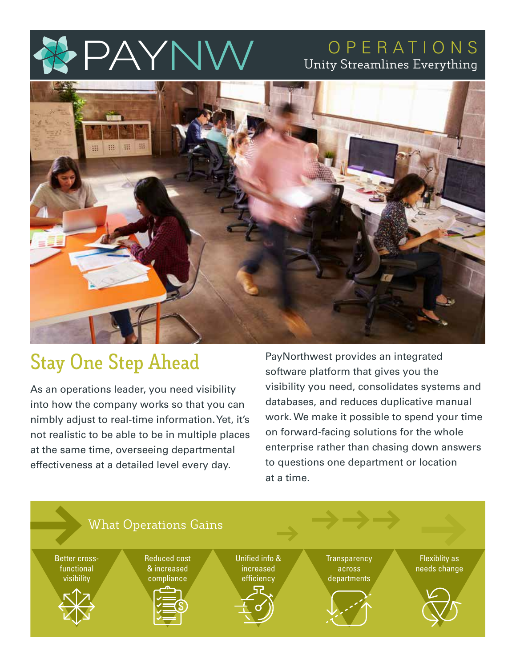# PAYN

## OPERATIONS Unity Streamlines Everything



# **Stay One Step Ahead**

As an operations leader, you need visibility into how the company works so that you can nimbly adjust to real-time information. Yet, it's not realistic to be able to be in multiple places at the same time, overseeing departmental effectiveness at a detailed level every day.

PayNorthwest provides an integrated software platform that gives you the visibility you need, consolidates systems and databases, and reduces duplicative manual work. We make it possible to spend your time on forward-facing solutions for the whole enterprise rather than chasing down answers to questions one department or location at a time.